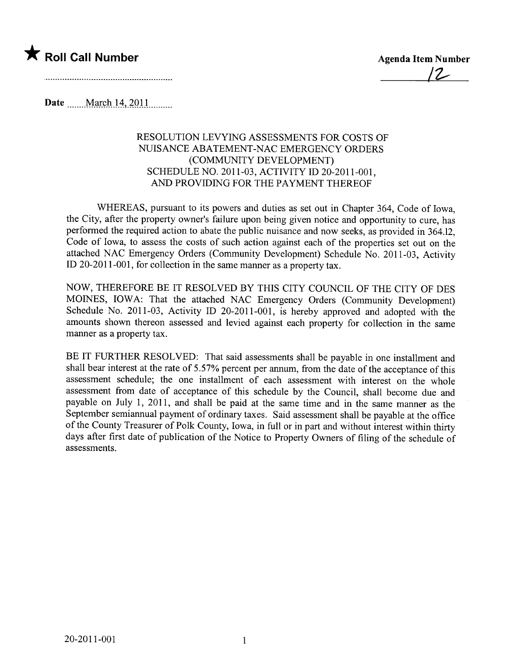

Date ....m.M.:¿ß~h.lA..~QJJ.....m..

## RESOLUTION LEVYING ASSESSMENTS FOR COSTS OF NUISANCE ABATEMENT-NAC EMERGENCY ORDERS (COMMUNITY DEVELOPMENT) SCHEDULE NO. 2011-03, ACTIVITY ID 20-2011-001, AND PROVIDING FOR THE PAYMENT THEREOF

WHEREAS, pursuant to its powers and duties as set out in Chapter 364, Code of Iowa, the City, after the property owner's failure upon being given notice and opportunity to cure, has performed the required action to abate the public nuisance and now seeks, as provided in 364.12, Code of Iowa, to assess the costs of such action against each of the properties set out on the attached NAC Emergency Orders (Community Development) Schedule No. 2011-03, Activity ID 20-2011-001, for collection in the same manner as a property tax.

NOW, THEREFORE BE IT RESOLVED BY THIS CITY COUNCIL OF THE CITY OF DES MOINES, IOWA: That the attached NAC Emergency Orders (Community Development) Schedule No. 2011-03, Activity ID 20-2011-001, is hereby approved and adopted with the amounts shown thereon assessed and levied against each property for collection in the same manner as a property tax.

BE IT FURTHER RESOLVED: That said assessments shall be payable in one installment and shall bear interest at the rate of 5.57% percent per annum, from the date of the acceptance of this assessment schedule; the one installment of each assessment with interest on the whole assessment from date of acceptance of this schedule by the Council, shall become due and payable on July 1, 2011, and shall be paid at the same time and in the same manner as the September semiannual payment of ordinary taxes. Said assessment shall be payable at the office of the County Treasurer of Polk County, Iowa, in full or in part and without interest within thirty days after first date of publication of the Notice to Property Owners of fiing of the schedule of assessments.